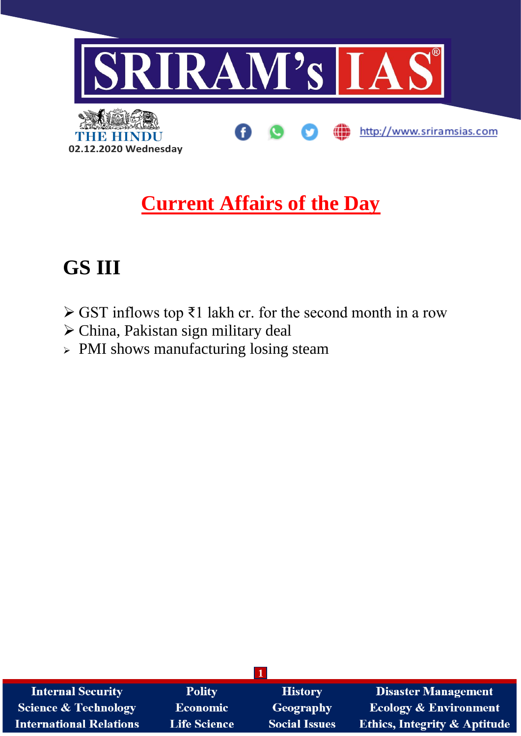

## **Current Affairs of the Day**

# **GS III**

- ➢ GST inflows top ₹1 lakh cr. for the second month in a row
- ➢ China, Pakistan sign military deal
- ➢ PMI shows manufacturing losing steam

| <b>Internal Security</b>       | <b>Polity</b>       | <b>History</b>       | <b>Disaster Management</b>              |
|--------------------------------|---------------------|----------------------|-----------------------------------------|
| Science & Technology           | <b>Economic</b>     | Geography            | <b>Ecology &amp; Environment</b>        |
| <b>International Relations</b> | <b>Life Science</b> | <b>Social Issues</b> | <b>Ethics, Integrity &amp; Aptitude</b> |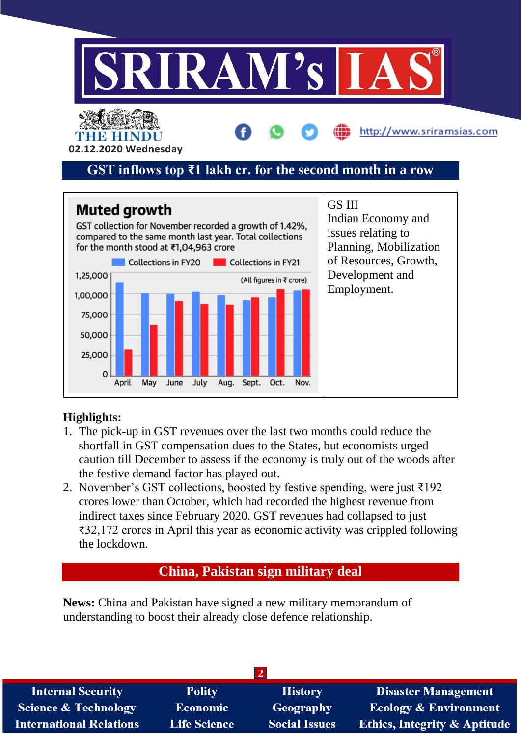



### **Highlights:**

- 1. The pick-up in GST revenues over the last two months could reduce the shortfall in GST compensation dues to the States, but economists urged caution till December to assess if the economy is truly out of the woods after the festive demand factor has played out.
- 2. November's GST collections, boosted by festive spending, were just ₹192 crores lower than October, which had recorded the highest revenue from indirect taxes since February 2020. GST revenues had collapsed to just ₹32,172 crores in April this year as economic activity was crippled following the lockdown.

### **China, Pakistan sign military deal**

**News:** China and Pakistan have signed a new military memorandum of understanding to boost their already close defence relationship.

| <b>Polity</b>       | <b>History</b>       | <b>Disaster Management</b>              |  |  |  |  |
|---------------------|----------------------|-----------------------------------------|--|--|--|--|
| Economic            | <b>Geography</b>     | <b>Ecology &amp; Environment</b>        |  |  |  |  |
| <b>Life Science</b> | <b>Social Issues</b> | <b>Ethics, Integrity &amp; Aptitude</b> |  |  |  |  |
|                     |                      |                                         |  |  |  |  |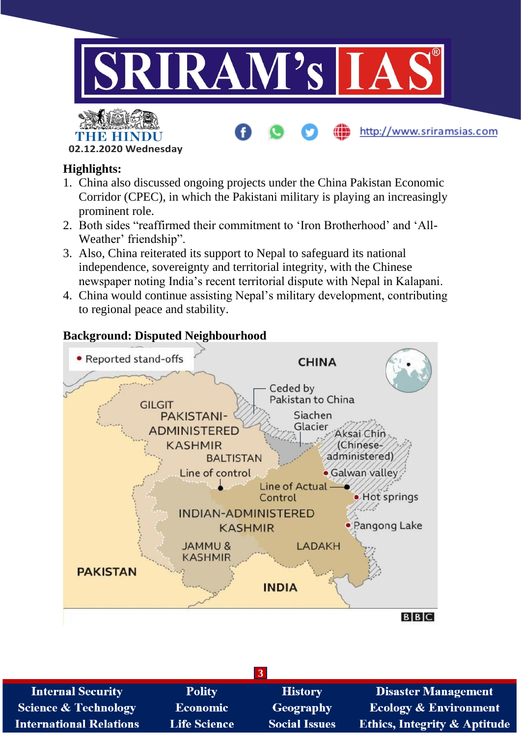

http://www.sriramsias.com



### **Highlights:**

- 1. China also discussed ongoing projects under the China Pakistan Economic Corridor (CPEC), in which the Pakistani military is playing an increasingly prominent role.
- 2. Both sides "reaffirmed their commitment to 'Iron Brotherhood' and 'All-Weather' friendship".
- 3. Also, China reiterated its support to Nepal to safeguard its national independence, sovereignty and territorial integrity, with the Chinese newspaper noting India's recent territorial dispute with Nepal in Kalapani.
- 4. China would continue assisting Nepal's military development, contributing to regional peace and stability.

### **Background: Disputed Neighbourhood**



| <b>Internal Security</b>        | <b>Polity</b>       | <b>History</b>       | <b>Disaster Management</b>              |  |  |
|---------------------------------|---------------------|----------------------|-----------------------------------------|--|--|
| <b>Science &amp; Technology</b> | <b>Economic</b>     | <b>Geography</b>     | <b>Ecology &amp; Environment</b>        |  |  |
| <b>International Relations</b>  | <b>Life Science</b> | <b>Social Issues</b> | <b>Ethics, Integrity &amp; Aptitude</b> |  |  |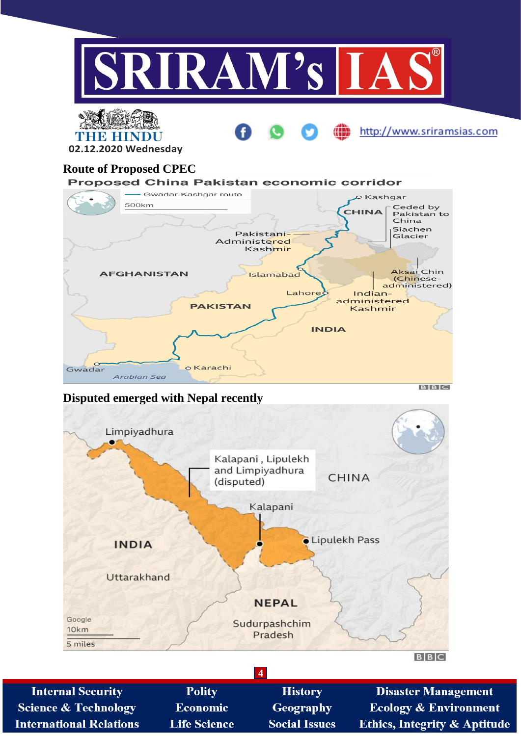

administered) Lahore  $Indian$ administered **PAKISTAN** Kashmir **INDIA** Gwadar o Karachi Arabian Sea

### **Disputed emerged with Nepal recently**



 $BIBIC$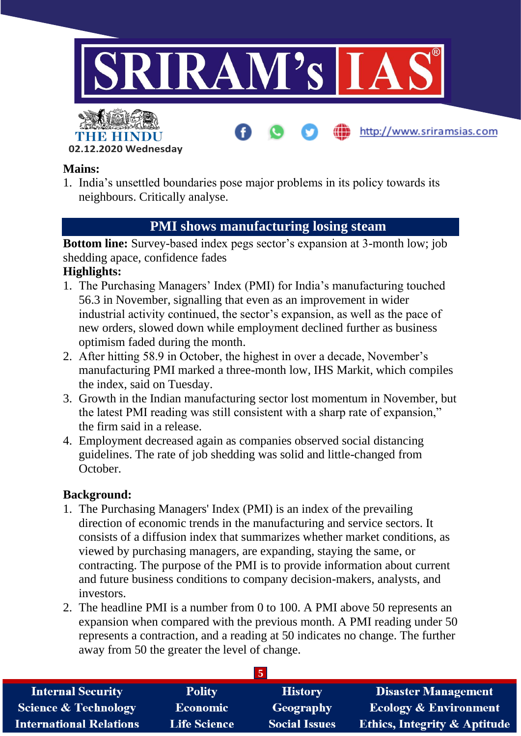

### **Mains:**

1. India's unsettled boundaries pose major problems in its policy towards its neighbours. Critically analyse.

### **PMI shows manufacturing losing steam**

**Bottom line:** Survey-based index pegs sector's expansion at 3-month low; job shedding apace, confidence fades

## **Highlights:**

- 1. The Purchasing Managers' Index (PMI) for India's manufacturing touched 56.3 in November, signalling that even as an improvement in wider industrial activity continued, the sector's expansion, as well as the pace of new orders, slowed down while employment declined further as business optimism faded during the month.
- 2. After hitting 58.9 in October, the highest in over a decade, November's manufacturing PMI marked a three-month low, IHS Markit, which compiles the index, said on Tuesday.
- 3. Growth in the Indian manufacturing sector lost momentum in November, but the latest PMI reading was still consistent with a sharp rate of expansion," the firm said in a release.
- 4. Employment decreased again as companies observed social distancing guidelines. The rate of job shedding was solid and little-changed from October.

### **Background:**

- 1. The Purchasing Managers' Index (PMI) is an index of the prevailing direction of economic trends in the manufacturing and service sectors. It consists of a diffusion index that summarizes whether market conditions, as viewed by purchasing managers, are expanding, staying the same, or contracting. The purpose of the PMI is to provide information about current and future business conditions to company decision-makers, analysts, and investors.
- 2. The headline PMI is a number from 0 to 100. A PMI above 50 represents an expansion when compared with the previous month. A PMI reading under 50 represents a contraction, and a reading at 50 indicates no change. The further away from 50 the greater the level of change.

| <b>Internal Security</b>        | <b>Polity</b>       | <b>History</b>       | <b>Disaster Management</b>              |  |  |  |
|---------------------------------|---------------------|----------------------|-----------------------------------------|--|--|--|
| <b>Science &amp; Technology</b> | Economic            | Geography            | <b>Ecology &amp; Environment</b>        |  |  |  |
| <b>International Relations</b>  | <b>Life Science</b> | <b>Social Issues</b> | <b>Ethics, Integrity &amp; Aptitude</b> |  |  |  |